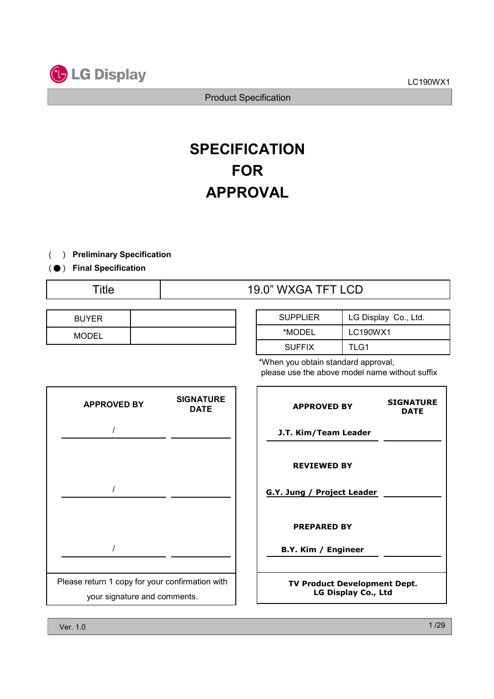



# **SPECIFICATION** FOR APPROVAL

#### ) ( Preliminary Specification

#### ( ● ) Final Specification

# Title  $19.0$ " WXGA TFT LCD

| <b>BUYER</b> |  |
|--------------|--|
| <b>MODEL</b> |  |

| <b>SUPPLIER</b> | LG Display Co., Ltd. |
|-----------------|----------------------|
| *MODEL          | LC190WX1             |
| <b>SUFFIX</b>   | TLG1                 |

\*When you obtain standard approval, please use the above model name without suffix



| <b>APPROVED BY</b>                                         | <b>SIGNATURE</b><br><b>DATE</b> |  |  |
|------------------------------------------------------------|---------------------------------|--|--|
| J.T. Kim/Team Leader                                       |                                 |  |  |
| <b>REVIEWED BY</b><br>G.Y. Jung / Project Leader           |                                 |  |  |
| <b>PREPARED BY</b>                                         |                                 |  |  |
| B.Y. Kim / Engineer                                        |                                 |  |  |
| <b>TV Product Development Dept.</b><br>LG Display Co., Ltd |                                 |  |  |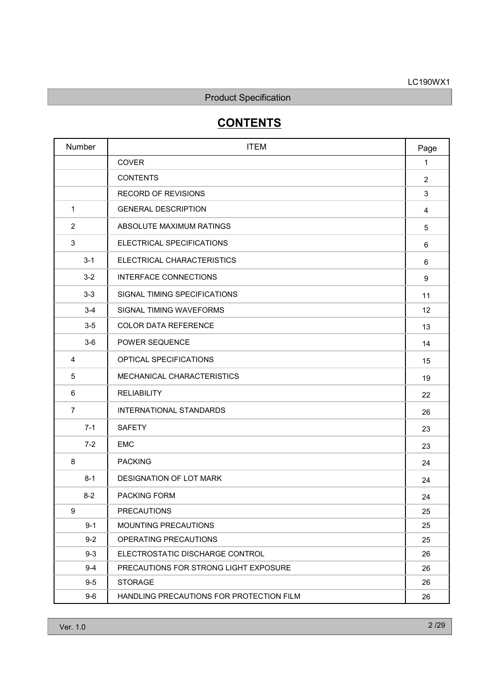# **CONTENTS**

| Number         | <b>ITEM</b>                              | Page           |
|----------------|------------------------------------------|----------------|
|                | COVER                                    | $\mathbf{1}$   |
|                | <b>CONTENTS</b>                          | $\overline{2}$ |
|                | <b>RECORD OF REVISIONS</b>               | 3              |
| $\mathbf{1}$   | <b>GENERAL DESCRIPTION</b>               | 4              |
| $\overline{2}$ | ABSOLUTE MAXIMUM RATINGS                 | 5              |
| 3              | ELECTRICAL SPECIFICATIONS                | 6              |
| $3 - 1$        | ELECTRICAL CHARACTERISTICS               | 6              |
| $3 - 2$        | INTERFACE CONNECTIONS                    | 9              |
| $3-3$          | SIGNAL TIMING SPECIFICATIONS             | 11             |
| $3 - 4$        | SIGNAL TIMING WAVEFORMS                  | 12             |
| $3-5$          | <b>COLOR DATA REFERENCE</b>              | 13             |
| $3-6$          | POWER SEQUENCE                           | 14             |
| 4              | OPTICAL SPECIFICATIONS                   | 15             |
| 5              | MECHANICAL CHARACTERISTICS               | 19             |
| 6              | <b>RELIABILITY</b>                       | 22             |
| $\overline{7}$ | INTERNATIONAL STANDARDS                  | 26             |
| $7 - 1$        | <b>SAFETY</b>                            | 23             |
| $7 - 2$        | <b>EMC</b>                               | 23             |
| 8              | <b>PACKING</b>                           | 24             |
| $8 - 1$        | DESIGNATION OF LOT MARK                  | 24             |
| $8 - 2$        | PACKING FORM                             | 24             |
| 9              | <b>PRECAUTIONS</b>                       | 25             |
| $9 - 1$        | MOUNTING PRECAUTIONS                     | 25             |
| $9 - 2$        | OPERATING PRECAUTIONS                    | 25             |
| $9 - 3$        | ELECTROSTATIC DISCHARGE CONTROL          | 26             |
| $9 - 4$        | PRECAUTIONS FOR STRONG LIGHT EXPOSURE    | 26             |
| $9-5$          | <b>STORAGE</b>                           | 26             |
| $9-6$          | HANDLING PRECAUTIONS FOR PROTECTION FILM | 26             |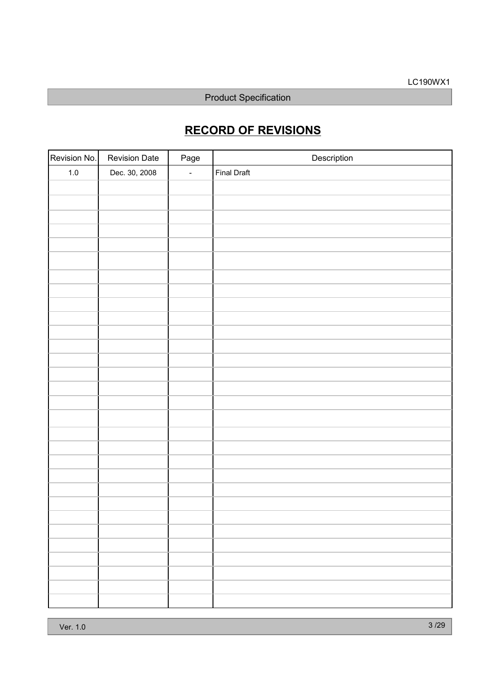# RECORD OF REVISIONS

| Revision No. | <b>Revision Date</b> | Page   | Description        |
|--------------|----------------------|--------|--------------------|
| $1.0\,$      | Dec. 30, 2008        | $\Box$ | <b>Final Draft</b> |
|              |                      |        |                    |
|              |                      |        |                    |
|              |                      |        |                    |
|              |                      |        |                    |
|              |                      |        |                    |
|              |                      |        |                    |
|              |                      |        |                    |
|              |                      |        |                    |
|              |                      |        |                    |
|              |                      |        |                    |
|              |                      |        |                    |
|              |                      |        |                    |
|              |                      |        |                    |
|              |                      |        |                    |
|              |                      |        |                    |
|              |                      |        |                    |
|              |                      |        |                    |
|              |                      |        |                    |
|              |                      |        |                    |
|              |                      |        |                    |
|              |                      |        |                    |
|              |                      |        |                    |
|              |                      |        |                    |
|              |                      |        |                    |
|              |                      |        |                    |
|              |                      |        |                    |
|              |                      |        |                    |
|              |                      |        |                    |
|              |                      |        |                    |
|              |                      |        |                    |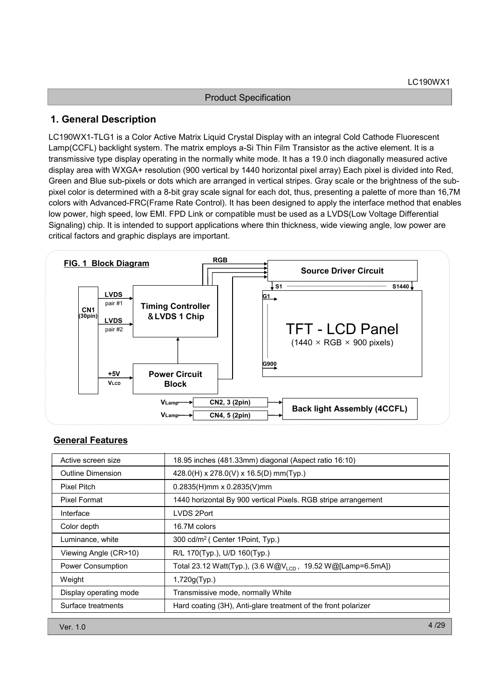### 1. General Description

LC190WX1-TLG1 is a Color Active Matrix Liquid Crystal Display with an integral Cold Cathode Fluorescent Lamp(CCFL) backlight system. The matrix employs a-Si Thin Film Transistor as the active element. It is a transmissive type display operating in the normally white mode. It has a 19.0 inch diagonally measured active display area with WXGA+ resolution (900 vertical by 1440 horizontal pixel array) Each pixel is divided into Red, Green and Blue sub-pixels or dots which are arranged in vertical stripes. Gray scale or the brightness of the subpixel color is determined with a 8-bit gray scale signal for each dot, thus, presenting a palette of more than 16,7M colors with Advanced-FRC(Frame Rate Control). It has been designed to apply the interface method that enables low power, high speed, low EMI. FPD Link or compatible must be used as a LVDS(Low Voltage Differential Signaling) chip. It is intended to support applications where thin thickness, wide viewing angle, low power are critical factors and graphic displays are important.



#### General Features

| Active screen size       | 18.95 inches (481.33mm) diagonal (Aspect ratio 16:10)                   |
|--------------------------|-------------------------------------------------------------------------|
| Outline Dimension        | 428.0(H) x 278.0(V) x 16.5(D) mm(Typ.)                                  |
| Pixel Pitch              | $0.2835(H)$ mm x $0.2835(V)$ mm                                         |
| Pixel Format             | 1440 horizontal By 900 vertical Pixels. RGB stripe arrangement          |
| Interface                | LVDS 2Port                                                              |
| Color depth              | 16.7M colors                                                            |
| Luminance, white         | 300 cd/m <sup>2</sup> ( Center 1 Point, Typ.)                           |
| Viewing Angle (CR>10)    | R/L 170(Typ.), U/D 160(Typ.)                                            |
| <b>Power Consumption</b> | Total 23.12 Watt(Typ.), (3.6 W@V <sub>LCD</sub> , 19.52 W@[Lamp=6.5mA]) |
| Weight                   | 1,720g(Typ.)                                                            |
| Display operating mode   | Transmissive mode, normally White                                       |
| Surface treatments       | Hard coating (3H), Anti-glare treatment of the front polarizer          |
|                          |                                                                         |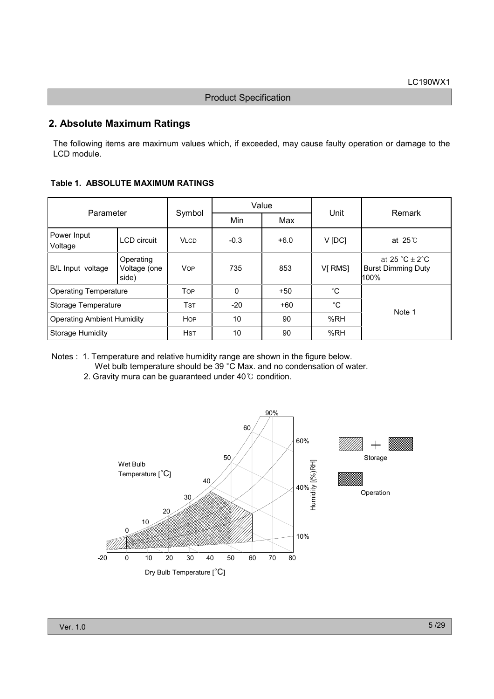# 2. Absolute Maximum Ratings

The following items are maximum values which, if exceeded, may cause faulty operation or damage to the LCD module.

Table 1. ABSOLUTE MAXIMUM RATINGS

| Parameter                         |                                    |             | Value    |        |              | Remark                                                                               |
|-----------------------------------|------------------------------------|-------------|----------|--------|--------------|--------------------------------------------------------------------------------------|
|                                   |                                    | Symbol      | Min      | Max    | Unit         |                                                                                      |
| Power Input<br>Voltage            | <b>LCD</b> circuit                 | <b>VLCD</b> | $-0.3$   | $+6.0$ | V [DC]       | at $25^\circ$ C                                                                      |
| B/L Input voltage                 | Operating<br>Voltage (one<br>side) | <b>VOP</b>  | 735      | 853    | VI RMSI      | at $25 \text{ }^{\circ}C + 2 \text{ }^{\circ}C$<br><b>Burst Dimming Duty</b><br>100% |
| <b>Operating Temperature</b>      |                                    | <b>TOP</b>  | $\Omega$ | $+50$  | $^{\circ}C$  |                                                                                      |
| Storage Temperature               |                                    | Tst         | $-20$    | $+60$  | $^{\circ}$ C | Note 1                                                                               |
| <b>Operating Ambient Humidity</b> |                                    | <b>HOP</b>  | 10       | 90     | %RH          |                                                                                      |
| <b>Storage Humidity</b>           |                                    | <b>HST</b>  | 10       | 90     | %RH          |                                                                                      |

Notes : 1. Temperature and relative humidity range are shown in the figure below. Wet bulb temperature should be 39 °C Max. and no condensation of water.

2. Gravity mura can be guaranteed under  $40^{\circ}$ C condition.

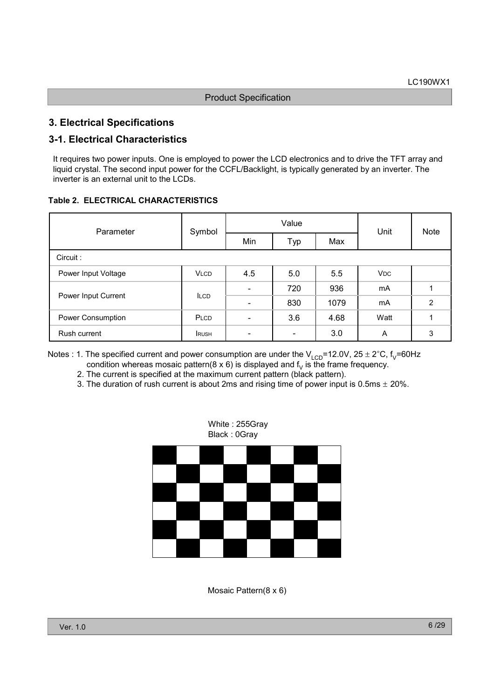# 3. Electrical Specifications

# 3-1. Electrical Characteristics

It requires two power inputs. One is employed to power the LCD electronics and to drive the TFT array and liquid crystal. The second input power for the CCFL/Backlight, is typically generated by an inverter. The inverter is an external unit to the LCDs.

#### Table 2. ELECTRICAL CHARACTERISTICS

| Parameter           | Symbol      | Value                        |                          |      | Unit                  | <b>Note</b>    |
|---------------------|-------------|------------------------------|--------------------------|------|-----------------------|----------------|
|                     |             | Min                          | Typ                      | Max  |                       |                |
| Circuit:            |             |                              |                          |      |                       |                |
| Power Input Voltage | <b>VLCD</b> | 4.5                          | 5.0                      | 5.5  | <b>V<sub>DC</sub></b> |                |
|                     | <b>ILCD</b> | $\overline{\phantom{0}}$     | 720                      | 936  | mA                    |                |
| Power Input Current |             |                              | 830                      | 1079 | mA                    | $\overline{2}$ |
| Power Consumption   | PLCD        | $\overline{\phantom{0}}$     | 3.6                      | 4.68 | Watt                  |                |
| Rush current        | <b>RUSH</b> | $\qquad \qquad \blacksquare$ | $\overline{\phantom{a}}$ | 3.0  | A                     | 3              |

Notes : 1. The specified current and power consumption are under the  $V_{LCD}$ =12.0V, 25 ± 2°C, f<sub>V</sub>=60Hz condition whereas mosaic pattern(8 x 6) is displayed and  $f<sub>V</sub>$  is the frame frequency.

2. The current is specified at the maximum current pattern (black pattern).

3. The duration of rush current is about 2ms and rising time of power input is  $0.5$ ms  $\pm$  20%.



Mosaic Pattern(8 x 6)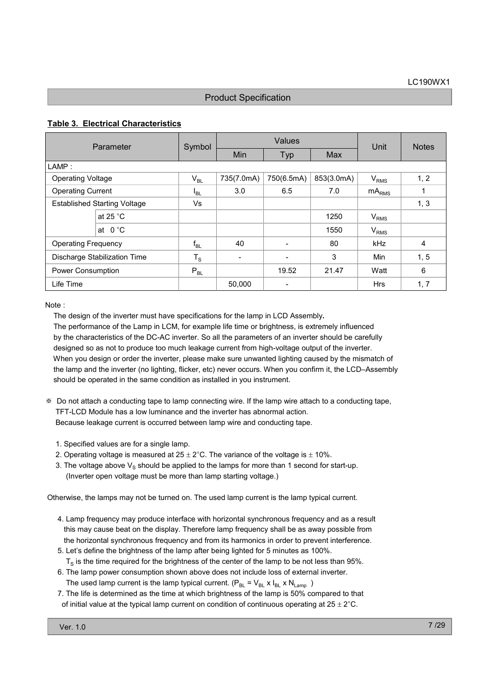#### Table 3. Electrical Characteristics

| Parameter                           |                    | Symbol          | Values     |            |            | Unit       | <b>Notes</b>   |
|-------------------------------------|--------------------|-----------------|------------|------------|------------|------------|----------------|
|                                     |                    |                 | Min        | Typ        | Max        |            |                |
| LAMP:                               |                    |                 |            |            |            |            |                |
| <b>Operating Voltage</b>            |                    | $V_{BL}$        | 735(7.0mA) | 750(6.5mA) | 853(3.0mA) | $V_{RMS}$  | 1, 2           |
| <b>Operating Current</b>            |                    | l <sub>BL</sub> | 3.0        | 6.5        | 7.0        | $mA_{RMS}$ |                |
| <b>Established Starting Voltage</b> |                    | Vs              |            |            |            |            | 1, 3           |
|                                     | at 25 $^{\circ}$ C |                 |            |            | 1250       | $V_{RMS}$  |                |
|                                     | at $0^{\circ}$ C   |                 |            |            | 1550       | $V_{RMS}$  |                |
| <b>Operating Frequency</b>          |                    | $f_{BL}$        | 40         |            | 80         | <b>kHz</b> | $\overline{4}$ |
| Discharge Stabilization Time        |                    | $T_S$           | -          |            | 3          | Min        | 1, 5           |
| Power Consumption                   |                    | $P_{BL}$        |            | 19.52      | 21.47      | Watt       | 6              |
| Life Time                           |                    |                 | 50,000     | -          |            | <b>Hrs</b> | 1, 7           |

Note :

The design of the inverter must have specifications for the lamp in LCD Assembly. The performance of the Lamp in LCM, for example life time or brightness, is extremely influenced by the characteristics of the DC-AC inverter. So all the parameters of an inverter should be carefully designed so as not to produce too much leakage current from high-voltage output of the inverter. When you design or order the inverter, please make sure unwanted lighting caused by the mismatch of the lamp and the inverter (no lighting, flicker, etc) never occurs. When you confirm it, the LCD–Assembly should be operated in the same condition as installed in you instrument.

- Do not attach a conducting tape to lamp connecting wire. If the lamp wire attach to a conducting tape, TFT-LCD Module has a low luminance and the inverter has abnormal action. Because leakage current is occurred between lamp wire and conducting tape.
	- 1. Specified values are for a single lamp.
	- 2. Operating voltage is measured at  $25 \pm 2^{\circ}$ C. The variance of the voltage is  $\pm$  10%.
	- 3. The voltage above  $V_S$  should be applied to the lamps for more than 1 second for start-up. (Inverter open voltage must be more than lamp starting voltage.)

Otherwise, the lamps may not be turned on. The used lamp current is the lamp typical current.

- 4. Lamp frequency may produce interface with horizontal synchronous frequency and as a result this may cause beat on the display. Therefore lamp frequency shall be as away possible from the horizontal synchronous frequency and from its harmonics in order to prevent interference.
- 5. Let's define the brightness of the lamp after being lighted for 5 minutes as 100%.  $T<sub>S</sub>$  is the time required for the brightness of the center of the lamp to be not less than 95%.
- 6. The lamp power consumption shown above does not include loss of external inverter. The used lamp current is the lamp typical current.  $(P_{BL} = V_{BL} \times I_{BL} \times N_{Lamp} )$
- 7. The life is determined as the time at which brightness of the lamp is 50% compared to that of initial value at the typical lamp current on condition of continuous operating at  $25 \pm 2^{\circ}$ C.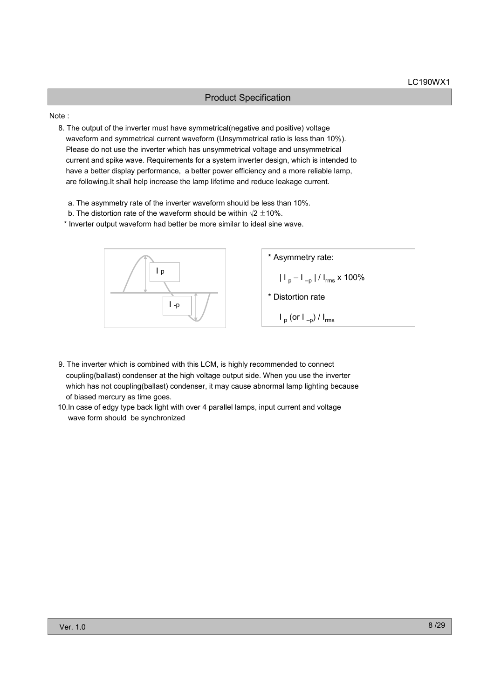#### Note :

8. The output of the inverter must have symmetrical(negative and positive) voltage waveform and symmetrical current waveform (Unsymmetrical ratio is less than 10%). Please do not use the inverter which has unsymmetrical voltage and unsymmetrical current and spike wave. Requirements for a system inverter design, which is intended to have a better display performance, a better power efficiency and a more reliable lamp, are following.It shall help increase the lamp lifetime and reduce leakage current.

- a. The asymmetry rate of the inverter waveform should be less than 10%.
- b. The distortion rate of the waveform should be within  $\sqrt{2} \pm 10\%$ .

\* Inverter output waveform had better be more similar to ideal sine wave.



- 9. The inverter which is combined with this LCM, is highly recommended to connect coupling(ballast) condenser at the high voltage output side. When you use the inverter which has not coupling(ballast) condenser, it may cause abnormal lamp lighting because of biased mercury as time goes.
- 10.In case of edgy type back light with over 4 parallel lamps, input current and voltage wave form should be synchronized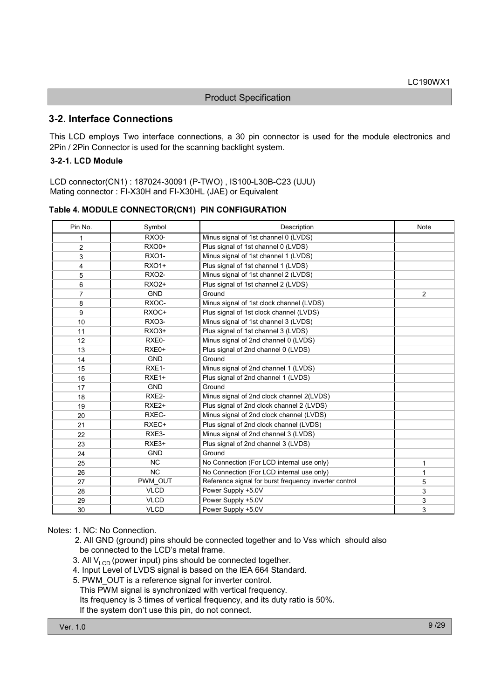### 3-2. Interface Connections

This LCD employs Two interface connections, a 30 pin connector is used for the module electronics and 2Pin / 2Pin Connector is used for the scanning backlight system.

#### 3-2-1. LCD Module

LCD connector(CN1) : 187024-30091 (P-TWO) , IS100-L30B-C23 (UJU) Mating connector : FI-X30H and FI-X30HL (JAE) or Equivalent

| Table 4. MODULE CONNECTOR(CN1) PIN CONFIGURATION |  |
|--------------------------------------------------|--|
|--------------------------------------------------|--|

| Pin No.        | Symbol             | Description                                           | Note           |
|----------------|--------------------|-------------------------------------------------------|----------------|
| 1              | RXO0-              | Minus signal of 1st channel 0 (LVDS)                  |                |
| $\overline{2}$ | RXO0+              | Plus signal of 1st channel 0 (LVDS)                   |                |
| 3              | <b>RXO1-</b>       | Minus signal of 1st channel 1 (LVDS)                  |                |
| 4              | <b>RXO1+</b>       | Plus signal of 1st channel 1 (LVDS)                   |                |
| 5              | <b>RXO2-</b>       | Minus signal of 1st channel 2 (LVDS)                  |                |
| 6              | RX02+              | Plus signal of 1st channel 2 (LVDS)                   |                |
| $\overline{7}$ | <b>GND</b>         | Ground                                                | $\overline{2}$ |
| 8              | RXOC-              | Minus signal of 1st clock channel (LVDS)              |                |
| 9              | RXOC+              | Plus signal of 1st clock channel (LVDS)               |                |
| 10             | RXO3-              | Minus signal of 1st channel 3 (LVDS)                  |                |
| 11             | RXO <sub>3+</sub>  | Plus signal of 1st channel 3 (LVDS)                   |                |
| 12             | RXE0-              | Minus signal of 2nd channel 0 (LVDS)                  |                |
| 13             | RXE0+              | Plus signal of 2nd channel 0 (LVDS)                   |                |
| 14             | <b>GND</b>         | Ground                                                |                |
| 15             | RXE <sub>1</sub> - | Minus signal of 2nd channel 1 (LVDS)                  |                |
| 16             | $RXE1+$            | Plus signal of 2nd channel 1 (LVDS)                   |                |
| 17             | <b>GND</b>         | Ground                                                |                |
| 18             | RXE2-              | Minus signal of 2nd clock channel 2(LVDS)             |                |
| 19             | RXE <sub>2+</sub>  | Plus signal of 2nd clock channel 2 (LVDS)             |                |
| 20             | RXEC-              | Minus signal of 2nd clock channel (LVDS)              |                |
| 21             | RXEC+              | Plus signal of 2nd clock channel (LVDS)               |                |
| 22             | RXE3-              | Minus signal of 2nd channel 3 (LVDS)                  |                |
| 23             | RXE3+              | Plus signal of 2nd channel 3 (LVDS)                   |                |
| 24             | <b>GND</b>         | Ground                                                |                |
| 25             | <b>NC</b>          | No Connection (For LCD internal use only)             | 1              |
| 26             | <b>NC</b>          | No Connection (For LCD internal use only)             | 1              |
| 27             | PWM OUT            | Reference signal for burst frequency inverter control | 5              |
| 28             | <b>VLCD</b>        | Power Supply +5.0V                                    | 3              |
| 29             | <b>VLCD</b>        | Power Supply +5.0V                                    | 3              |
| 30             | <b>VLCD</b>        | Power Supply +5.0V                                    | 3              |

#### Notes: 1. NC: No Connection.

- 2. All GND (ground) pins should be connected together and to Vss which should also be connected to the LCD's metal frame.
- 3. All  $V_{\text{LCD}}$  (power input) pins should be connected together.
- 4. Input Level of LVDS signal is based on the IEA 664 Standard.
- 5. PWM\_OUT is a reference signal for inverter control.
- This PWM signal is synchronized with vertical frequency.

Its frequency is 3 times of vertical frequency, and its duty ratio is 50%.

If the system don't use this pin, do not connect.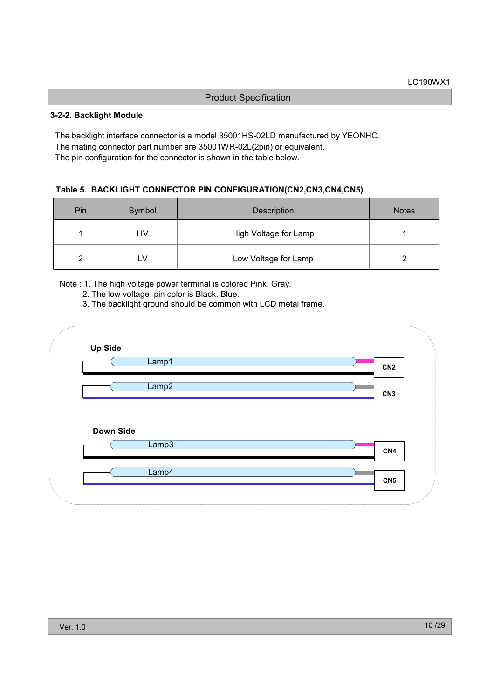#### 3-2-2. Backlight Module

The backlight interface connector is a model 35001HS-02LD manufactured by YEONHO. The mating connector part number are 35001WR-02L(2pin) or equivalent. The pin configuration for the connector is shown in the table below.

#### Table 5. BACKLIGHT CONNECTOR PIN CONFIGURATION(CN2,CN3,CN4,CN5)

| Pin | Symbol | Description           | <b>Notes</b> |
|-----|--------|-----------------------|--------------|
|     | HV     | High Voltage for Lamp |              |
|     |        | Low Voltage for Lamp  |              |

Note : 1. The high voltage power terminal is colored Pink, Gray.

- 2. The low voltage pin color is Black, Blue.
- 3. The backlight ground should be common with LCD metal frame.

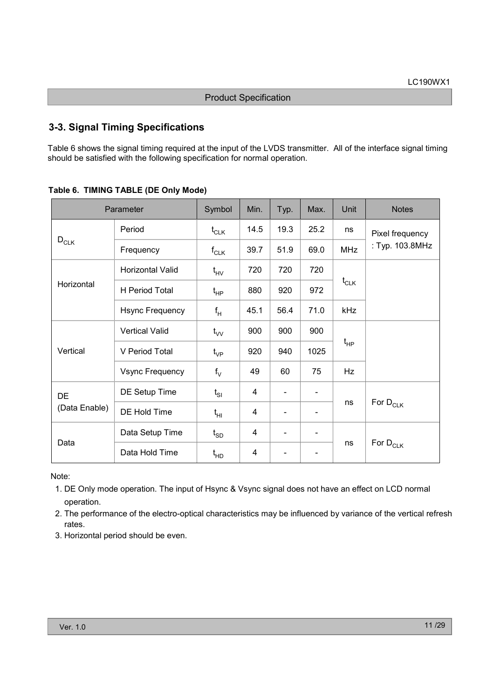# 3-3. Signal Timing Specifications

Table 6 shows the signal timing required at the input of the LVDS transmitter. All of the interface signal timing should be satisfied with the following specification for normal operation.

| Parameter     |                        | Symbol                       | Min.           | Typ.                         | Max. | Unit                    | <b>Notes</b>                    |  |  |
|---------------|------------------------|------------------------------|----------------|------------------------------|------|-------------------------|---------------------------------|--|--|
|               | Period                 | $t_{CLK}$                    | 14.5           | 19.3                         | 25.2 | ns                      | Pixel frequency                 |  |  |
| $D_{CLK}$     | Frequency              | $f_{CLK}$                    | 39.7           | 51.9                         | 69.0 | <b>MHz</b>              | : Typ. 103.8MHz                 |  |  |
|               | Horizontal Valid       | $t_{HV}$                     | 720            | 720                          | 720  |                         |                                 |  |  |
| Horizontal    | H Period Total         | $\mathfrak{t}_{\sf HP}$      | 880            | 920                          | 972  | $t_{CLK}$               |                                 |  |  |
|               | <b>Hsync Frequency</b> | $f_H$                        | 45.1           | 56.4                         | 71.0 | kHz                     |                                 |  |  |
|               | <b>Vertical Valid</b>  | $t_{VV}$                     | 900            | 900                          | 900  |                         |                                 |  |  |
| Vertical      | V Period Total         | $t_{\rm VP}$                 | 920            | 940                          | 1025 | $\mathfrak{t}_{\sf HP}$ |                                 |  |  |
|               | <b>Vsync Frequency</b> | $f_V$                        | 49             | 60                           | 75   | Hz                      |                                 |  |  |
| DE            | DE Setup Time          | $t_{SI}$                     | 4              |                              |      |                         |                                 |  |  |
| (Data Enable) | DE Hold Time           | $t_{HI}$                     | $\overline{4}$ |                              |      | ns                      | For $D_{CLK}$                   |  |  |
|               | Data Setup Time        | $\mathfrak{t}_{\texttt{SD}}$ | 4              | $\qquad \qquad \blacksquare$ |      |                         |                                 |  |  |
| Data          | Data Hold Time         | $t_{HD}$                     | $\overline{4}$ |                              |      | ns                      | For $\mathsf{D}_{\mathsf{CLK}}$ |  |  |

Table 6. TIMING TABLE (DE Only Mode)

Note:

- 1. DE Only mode operation. The input of Hsync & Vsync signal does not have an effect on LCD normal operation.
- 2. The performance of the electro-optical characteristics may be influenced by variance of the vertical refresh rates.
- 3. Horizontal period should be even.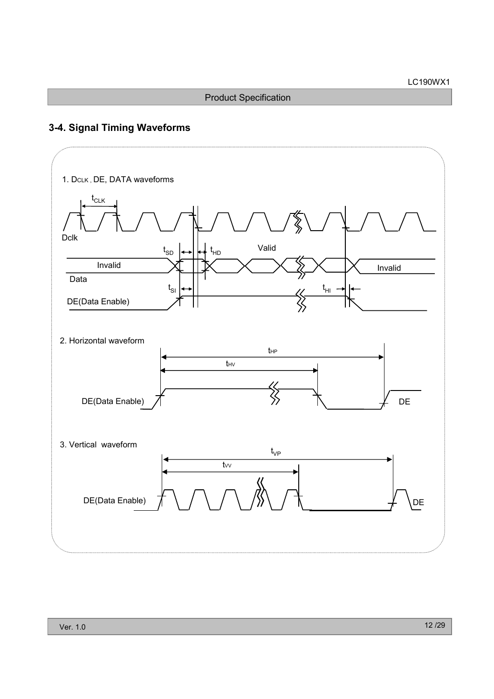# 3-4. Signal Timing Waveforms

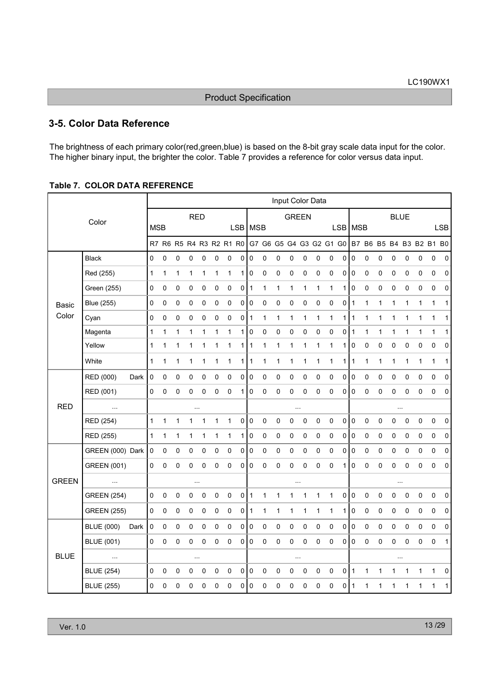# 3-5. Color Data Reference

The brightness of each primary color(red,green,blue) is based on the 8-bit gray scale data input for the color. The higher binary input, the brighter the color. Table 7 provides a reference for color versus data input.

#### Table 7. COLOR DATA REFERENCE

|              |                    |      |              |              |           |             |              |              |                         |                |           |              |              | Input Color Data |   |              |                         |            |                |              |             |              |              |              |                         |              |
|--------------|--------------------|------|--------------|--------------|-----------|-------------|--------------|--------------|-------------------------|----------------|-----------|--------------|--------------|------------------|---|--------------|-------------------------|------------|----------------|--------------|-------------|--------------|--------------|--------------|-------------------------|--------------|
|              | Color              |      |              |              |           | <b>RED</b>  |              |              |                         |                |           |              |              | <b>GREEN</b>     |   |              |                         |            |                |              |             | <b>BLUE</b>  |              |              |                         |              |
|              |                    |      | <b>MSB</b>   |              |           |             |              |              |                         |                | LSB   MSB |              |              |                  |   |              |                         | <b>LSB</b> | <b>MSB</b>     |              |             |              |              |              |                         | <b>LSB</b>   |
|              |                    |      |              |              |           |             |              |              | R7 R6 R5 R4 R3 R2 R1 R0 |                |           |              |              |                  |   |              | G7 G6 G5 G4 G3 G2 G1 G0 |            |                |              |             |              |              |              | B7 B6 B5 B4 B3 B2 B1 B0 |              |
|              | <b>Black</b>       |      | 0            | 0            | 0         | 0           | 0            | $\pmb{0}$    | 0                       | 0              | 0         | 0            | 0            | 0                | 0 | 0            | 0                       | 0          | $\pmb{0}$      | 0            | 0           | 0            | 0            | 0            | 0                       | 0            |
|              | Red (255)          |      | $\mathbf{1}$ | 1            | 1         | 1           | 1            | $\mathbf{1}$ | 1                       | 1 I            | 0         | 0            | 0            | 0                | 0 | $\pmb{0}$    | 0                       | 0          | $\overline{0}$ | $\mathbf 0$  | $\mathbf 0$ | 0            | 0            | 0            | $\mathbf 0$             | 0            |
|              | Green (255)        |      | 0            | 0            | 0         | $\mathbf 0$ | 0            | 0            | 0                       | $\overline{0}$ | 1         | 1            | 1            | $\mathbf{1}$     | 1 | 1            | $\mathbf 1$             | 1          | $\mathbf 0$    | $\pmb{0}$    | $\mathbf 0$ | 0            | 0            | 0            | $\mathbf 0$             | 0            |
| <b>Basic</b> | Blue (255)         |      | 0            | 0            | $\pmb{0}$ | 0           | 0            | 0            | 0                       | $\overline{0}$ | 0         | 0            | 0            | 0                | 0 | 0            | 0                       | 0          | $\mathbf{1}$   | $\mathbf{1}$ | 1           | $\mathbf{1}$ | $\mathbf{1}$ | 1            | $\mathbf 1$             | $\mathbf{1}$ |
| Color        | Cyan               |      | 0            | 0            | $\pmb{0}$ | $\mathbf 0$ | 0            | $\pmb{0}$    | 0                       | $\overline{0}$ | 1         | 1            | 1            | 1                | 1 | 1            | 1                       | 1          | $\mathbf{1}$   | $\mathbf{1}$ | 1           | 1            | $\mathbf{1}$ | 1            | 1                       | $\mathbf 1$  |
|              | Magenta            |      | 1            | $\mathbf{1}$ | 1         | 1           | 1            | $\mathbf{1}$ | 1                       | 1 I            | 0         | 0            | 0            | 0                | 0 | 0            | 0                       | 0          | $\mathbf{1}$   | 1            | 1           | 1            | $\mathbf{1}$ | 1            | $\mathbf{1}$            | $\mathbf{1}$ |
|              | Yellow             |      | $\mathbf{1}$ | 1            | 1         | 1           | 1            | $\mathbf{1}$ | 1                       | 1 I            | 1         | $\mathbf{1}$ | 1            | $\mathbf{1}$     | 1 | 1            | $\mathbf 1$             | 1          | $\pmb{0}$      | 0            | $\mathbf 0$ | $\pmb{0}$    | 0            | 0            | $\mathbf 0$             | 0            |
|              | White              |      | $\mathbf{1}$ | 1            | 1         | 1           | 1            | 1            | 1                       | 1              | 1         | 1            | 1            | 1                | 1 | 1            | $\mathbf 1$             | 1          | 1              | 1            | 1           | 1            | 1            | 1            | 1                       | 1            |
|              | RED (000)          | Dark | 0            | 0            | 0         | 0           | 0            | 0            | 0                       | $\overline{0}$ | 0         | 0            | 0            | 0                | 0 | 0            | 0                       | 0          | 0              | 0            | 0           | 0            | 0            | 0            | 0                       | 0            |
|              | RED (001)          |      | 0            | 0            | 0         | 0           | 0            | 0            | 0                       | 1              | 0         | 0            | 0            | 0                | 0 | 0            | 0                       | 0          | $\mathbf 0$    | $\pmb{0}$    | 0           | 0            | 0            | 0            | $\mathbf 0$             | $\mathbf 0$  |
| <b>RED</b>   | $\ldots$           |      |              |              |           | $\ddotsc$   |              |              |                         |                |           |              |              | $\cdots$         |   |              |                         |            |                |              |             | $\ldots$     |              |              |                         |              |
|              | RED (254)          |      | $\mathbf{1}$ | $\mathbf{1}$ | 1         | 1           | $\mathbf{1}$ | $\mathbf{1}$ | 1                       | $\circ$        | 0         | 0            | 0            | 0                | 0 | $\pmb{0}$    | $\mathbf 0$             | 0          | $\pmb{0}$      | $\mathbf 0$  | $\pmb{0}$   | 0            | 0            | 0            | $\pmb{0}$               | $\pmb{0}$    |
|              | RED (255)          |      | $\mathbf{1}$ | 1            | 1         | 1           | 1            | 1            | 1                       | 1              | 0         | 0            | 0            | 0                | 0 | 0            | 0                       | 0          | $\pmb{0}$      | 0            | 0           | 0            | 0            | 0            | $\pmb{0}$               | 0            |
|              | GREEN (000) Dark   |      | $\mathsf 0$  | 0            | 0         | 0           | 0            | $\pmb{0}$    | $\mathsf 0$             | $\overline{0}$ | 0         | 0            | 0            | 0                | 0 | $\mathbf 0$  | $\mathsf 0$             | 0          | $\pmb{0}$      | 0            | $\mathsf 0$ | 0            | $\mathsf 0$  | 0            | $\pmb{0}$               | 0            |
|              | <b>GREEN (001)</b> |      | 0            | 0            | 0         | 0           | 0            | 0            | 0                       | $\overline{0}$ | 0         | 0            | 0            | 0                | 0 | 0            | 0                       | 1          | $\mathbf 0$    | $\pmb{0}$    | $\mathbf 0$ | 0            | 0            | 0            | 0                       | 0            |
| <b>GREEN</b> | $\ddotsc$          |      |              |              |           | $\ldots$    |              |              |                         |                |           |              |              | $\cdots$         |   |              |                         |            |                |              |             | $\ldots$     |              |              |                         |              |
|              | <b>GREEN (254)</b> |      | 0            | 0            | $\pmb{0}$ | $\mathsf 0$ | 0            | 0            | $\pmb{0}$               | $\overline{0}$ | 1         | 1            | $\mathbf{1}$ | 1                | 1 | $\mathbf{1}$ | $\mathbf{1}$            | 0          | $\pmb{0}$      | $\pmb{0}$    | $\mathbf 0$ | 0            | 0            | 0            | 0                       | 0            |
|              | <b>GREEN (255)</b> |      | 0            | 0            | $\pmb{0}$ | 0           | 0            | $\pmb{0}$    | 0                       | $\circ$        | 1         | 1            | 1            | 1                | 1 | 1            | 1                       | 1          | $\pmb{0}$      | 0            | 0           | 0            | 0            | 0            | $\pmb{0}$               | 0            |
|              | <b>BLUE (000)</b>  | Dark | 0            | 0            | 0         | 0           | 0            | 0            | $\mathbf 0$             | $\overline{0}$ | 0         | 0            | 0            | 0                | 0 | 0            | 0                       | 0          | $\pmb{0}$      | 0            | $\mathbf 0$ | 0            | 0            | 0            | $\mathsf 0$             | 0            |
|              | <b>BLUE (001)</b>  |      | 0            | 0            | 0         | 0           | 0            | $\mathbf 0$  | 0                       | 0 I            | 0         | 0            | 0            | 0                | 0 | 0            | 0                       | 0          | $\mathbf 0$    | 0            | $\mathbf 0$ | 0            | 0            | 0            | 0                       | $\mathbf{1}$ |
| <b>BLUE</b>  | $\ddotsc$          |      |              |              |           |             |              |              |                         |                |           |              |              | $\cdots$         |   |              |                         |            |                |              |             | $\ddotsc$    |              |              |                         |              |
|              | <b>BLUE (254)</b>  |      | 0            | 0            | 0         | 0           | 0            | 0            | $\mathbf 0$             | $\overline{0}$ | 0         | $\pmb{0}$    | $\pmb{0}$    | 0                | 0 | $\pmb{0}$    | $\mathbf 0$             | 0          | $\mathbf{1}$   | $\mathbf{1}$ | 1           | 1            | 1            | $\mathbf{1}$ | $\mathbf{1}$            | $\mathbf 0$  |
|              | <b>BLUE (255)</b>  |      | 0            | 0            | 0         | $\mathbf 0$ | 0            | $\pmb{0}$    | 0                       | $\overline{0}$ | 0         | 0            | 0            | 0                | 0 | 0            | 0                       | 0          | 1              | 1            | 1           | 1            | 1            | 1            | 1                       | 1            |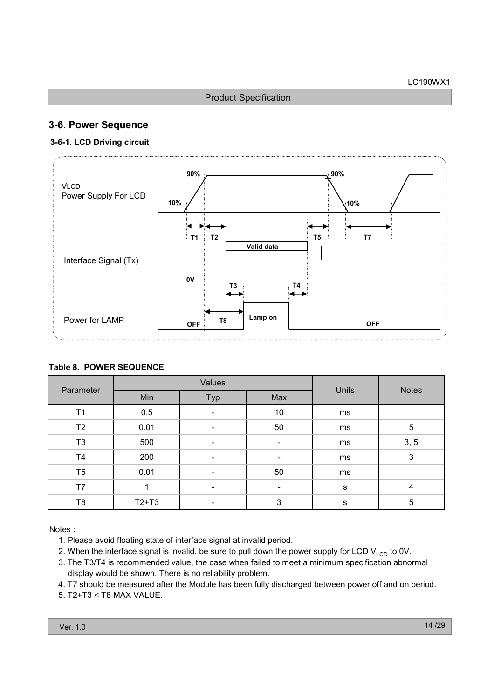# 3-6. Power Sequence

#### 3-6-1. LCD Driving circuit



#### Table 8. POWER SEQUENCE

| Parameter      |         | Values                   |     | <b>Notes</b> |                |
|----------------|---------|--------------------------|-----|--------------|----------------|
|                | Min     | Typ                      | Max | <b>Units</b> |                |
| T1             | 0.5     |                          | 10  | ms           |                |
| T <sub>2</sub> | 0.01    |                          | 50  | ms           | 5              |
| T <sub>3</sub> | 500     |                          |     | ms           | 3, 5           |
| T <sub>4</sub> | 200     | $\overline{\phantom{0}}$ | ٠   | ms           | 3              |
| T <sub>5</sub> | 0.01    |                          | 50  | ms           |                |
| T7             |         | $\overline{\phantom{0}}$ | ٠   | $\mathbf S$  | $\overline{4}$ |
| T8             | $T2+T3$ |                          | 3   | s            | 5              |

Notes :

- 1. Please avoid floating state of interface signal at invalid period.
- 2. When the interface signal is invalid, be sure to pull down the power supply for LCD  $V_{\text{LCD}}$  to 0V.
- 3. The T3/T4 is recommended value, the case when failed to meet a minimum specification abnormal display would be shown. There is no reliability problem.
- 4. T7 should be measured after the Module has been fully discharged between power off and on period.
- 5. T2+T3 < T8 MAX VALUE.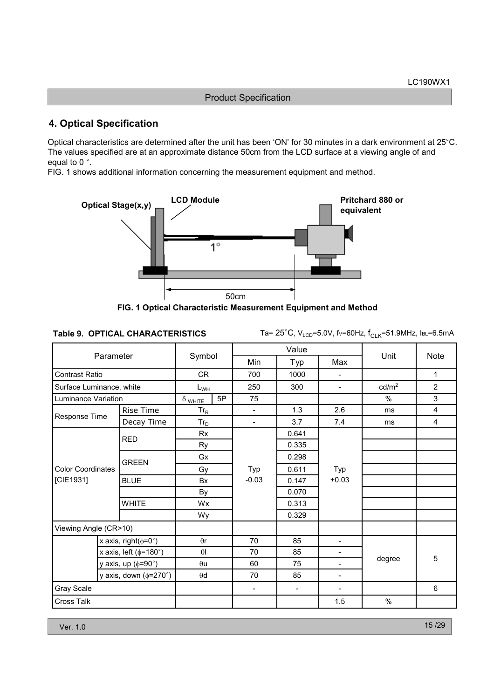# 4. Optical Specification

Optical characteristics are determined after the unit has been 'ON' for 30 minutes in a dark environment at 25°C. The values specified are at an approximate distance 50cm from the LCD surface at a viewing angle of and equal to 0 $^{\circ}$ .

FIG. 1 shows additional information concerning the measurement equipment and method.



FIG. 1 Optical Characteristic Measurement Equipment and Method

#### Table 9. OPTICAL CHARACTERISTICS

Ta= 25°C, V<sub>LCD</sub>=5.0V, f∨=60Hz, f<sub>CLK</sub>=51.9MHz, Iв∟=6.5mA

|                              |                                |                            |    |                          | Value                    |                          |                   |                |
|------------------------------|--------------------------------|----------------------------|----|--------------------------|--------------------------|--------------------------|-------------------|----------------|
| Parameter                    |                                | Symbol                     |    | Min                      | Typ                      | Max                      | Unit              | Note           |
| Contrast Ratio               |                                | CR.                        |    | 700                      | 1000                     |                          |                   | $\mathbf{1}$   |
| Surface Luminance, white     |                                | $L_{WH}$                   |    | 250                      | 300                      | $\overline{\phantom{a}}$ | cd/m <sup>2</sup> | $\overline{2}$ |
| Luminance Variation          |                                | $\delta$ white             | 5P | 75                       |                          |                          | %                 | 3              |
| Response Time                | Rise Time                      | $\mathsf{Tr}_{\mathsf{R}}$ |    | $\overline{\phantom{a}}$ | 1.3                      | 2.6                      | ms                | $\overline{4}$ |
|                              | Decay Time                     | $Tr_D$                     |    | $\overline{\phantom{a}}$ | 3.7                      | 7.4                      | ms                | $\overline{4}$ |
|                              | <b>RED</b>                     | <b>Rx</b>                  |    |                          | 0.641                    |                          |                   |                |
|                              |                                | Ry                         |    |                          | 0.335                    |                          |                   |                |
|                              | <b>GREEN</b>                   | Gx                         |    |                          | 0.298                    |                          |                   |                |
| <b>Color Coordinates</b>     |                                | Gy<br><b>Bx</b><br>By      |    | Typ                      | 0.611                    | Typ                      |                   |                |
| [CIE1931]                    | <b>BLUE</b>                    |                            |    | $-0.03$                  | 0.147                    | $+0.03$                  |                   |                |
|                              |                                |                            |    |                          | 0.070                    |                          |                   |                |
|                              | <b>WHITE</b>                   | Wx                         |    |                          | 0.313                    |                          |                   |                |
|                              |                                | Wy                         |    |                          | 0.329                    |                          |                   |                |
| Viewing Angle (CR>10)        |                                |                            |    |                          |                          |                          |                   |                |
|                              | x axis, right( $\phi$ =0°)     | $\theta$ r                 |    | 70                       | 85                       | $\overline{\phantom{a}}$ |                   |                |
|                              | x axis, left ( $\phi$ =180°)   | $\theta$                   |    | 70                       | 85                       | $\overline{\phantom{a}}$ |                   |                |
|                              | y axis, up $(\phi = 90^\circ)$ | $\theta$ u                 |    | 60                       | 75                       | $\overline{\phantom{a}}$ | degree            | 5              |
| y axis, down ( $\phi$ =270°) |                                | $\theta$ d                 |    | 70                       | 85                       | $\overline{\phantom{a}}$ |                   |                |
| Gray Scale                   |                                |                            |    | $\overline{\phantom{a}}$ | $\overline{\phantom{a}}$ | $\overline{\phantom{a}}$ |                   | 6              |
| Cross Talk                   |                                |                            |    |                          |                          | 1.5                      | $\%$              |                |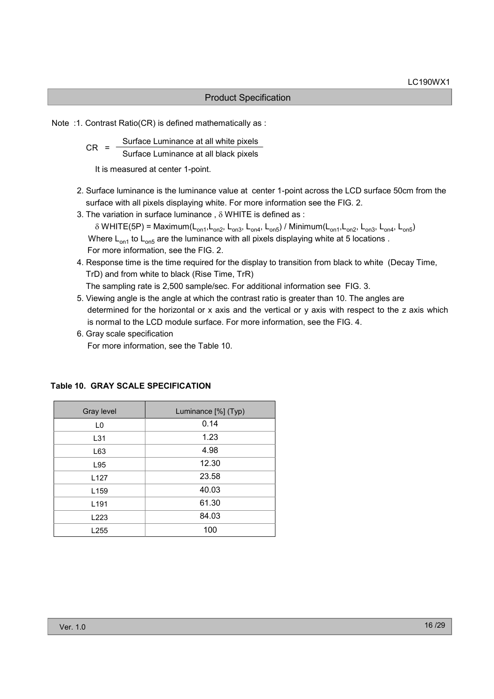Note :1. Contrast Ratio(CR) is defined mathematically as :

 $CR =$  Surface Luminance at all white pixels Surface Luminance at all black pixels

It is measured at center 1-point.

- 2. Surface luminance is the luminance value at center 1-point across the LCD surface 50cm from the surface with all pixels displaying white. For more information see the FIG. 2.
- 3. The variation in surface luminance , δ WHITE is defined as :  $\delta$  WHITE(5P) = Maximum(L<sub>on1</sub>,L<sub>on2</sub>, L<sub>on3</sub>, L<sub>on4</sub>, L<sub>on5</sub>) / Minimum(L<sub>on1</sub>,L<sub>on2</sub>, L<sub>on3</sub>, L<sub>on4</sub>, L<sub>on5</sub>) Where  $L_{on1}$  to  $L_{on5}$  are the luminance with all pixels displaying white at 5 locations . For more information, see the FIG. 2.
- 4. Response time is the time required for the display to transition from black to white (Decay Time, TrD) and from white to black (Rise Time, TrR)

The sampling rate is 2,500 sample/sec. For additional information see FIG. 3.

- 5. Viewing angle is the angle at which the contrast ratio is greater than 10. The angles are determined for the horizontal or x axis and the vertical or y axis with respect to the z axis which is normal to the LCD module surface. For more information, see the FIG. 4.
- 6. Gray scale specification For more information, see the Table 10.

| Gray level       | Luminance [%] (Typ) |
|------------------|---------------------|
| L <sub>0</sub>   | 0.14                |
| L31              | 1.23                |
| L63              | 4.98                |
| L95              | 12.30               |
| L <sub>127</sub> | 23.58               |
| L <sub>159</sub> | 40.03               |
| L <sub>191</sub> | 61.30               |
| L223             | 84.03               |
| L255             | 100                 |

#### Table 10. GRAY SCALE SPECIFICATION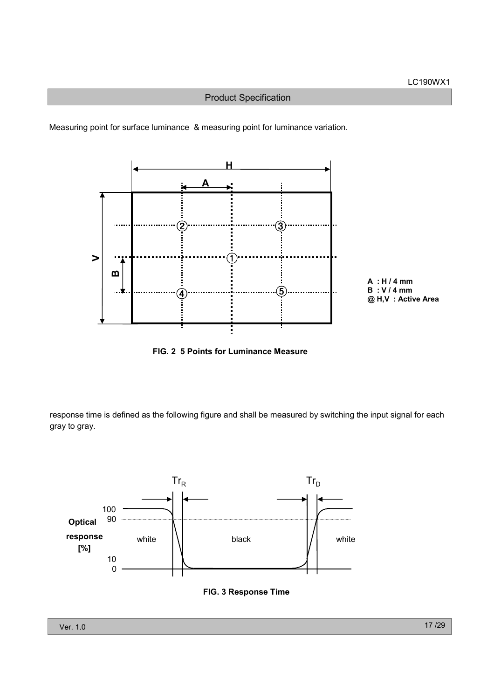Measuring point for surface luminance & measuring point for luminance variation.



FIG. 2 5 Points for Luminance Measure

response time is defined as the following figure and shall be measured by switching the input signal for each gray to gray.

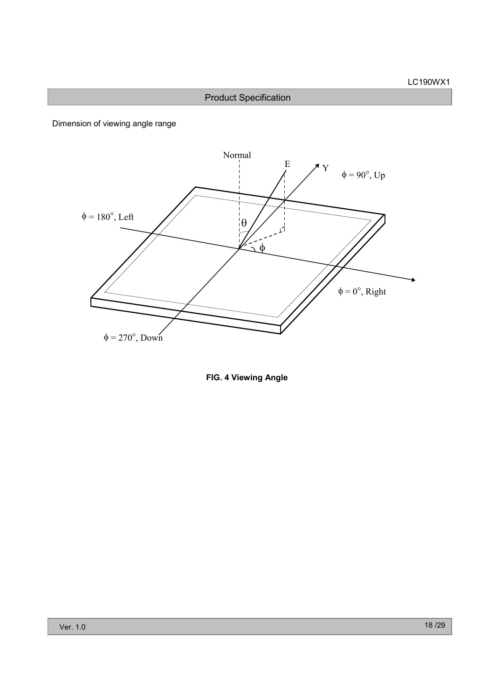Dimension of viewing angle range



FIG. 4 Viewing Angle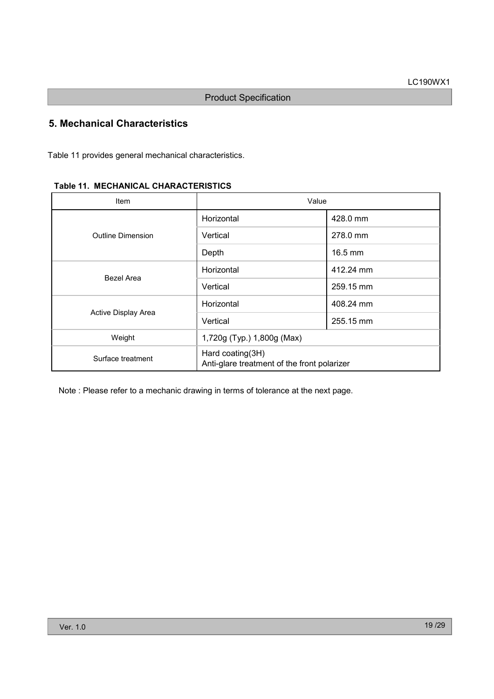# 5. Mechanical Characteristics

Table 11 provides general mechanical characteristics.

| Item                | Value                                                           |           |  |  |  |  |
|---------------------|-----------------------------------------------------------------|-----------|--|--|--|--|
|                     | Horizontal                                                      | 428.0 mm  |  |  |  |  |
| Outline Dimension   | Vertical                                                        | 278.0 mm  |  |  |  |  |
|                     | Depth                                                           | 16.5 mm   |  |  |  |  |
|                     | Horizontal                                                      | 412.24 mm |  |  |  |  |
| Bezel Area          | Vertical                                                        | 259.15 mm |  |  |  |  |
|                     | Horizontal                                                      | 408.24 mm |  |  |  |  |
| Active Display Area | Vertical                                                        | 255.15 mm |  |  |  |  |
| Weight              | 1,720g (Typ.) 1,800g (Max)                                      |           |  |  |  |  |
| Surface treatment   | Hard coating(3H)<br>Anti-glare treatment of the front polarizer |           |  |  |  |  |

Note : Please refer to a mechanic drawing in terms of tolerance at the next page.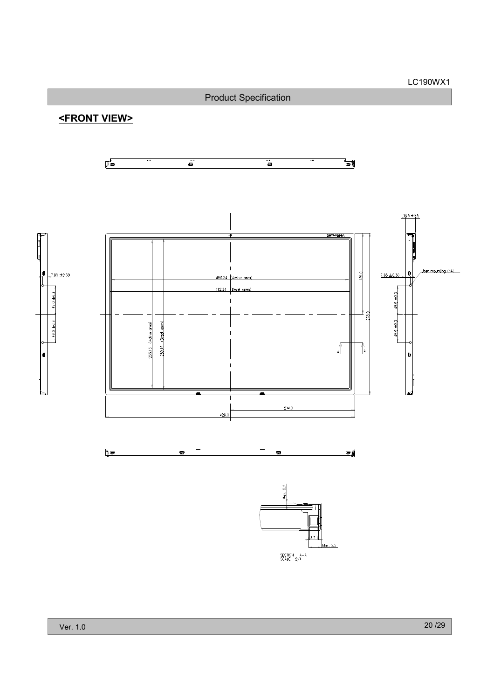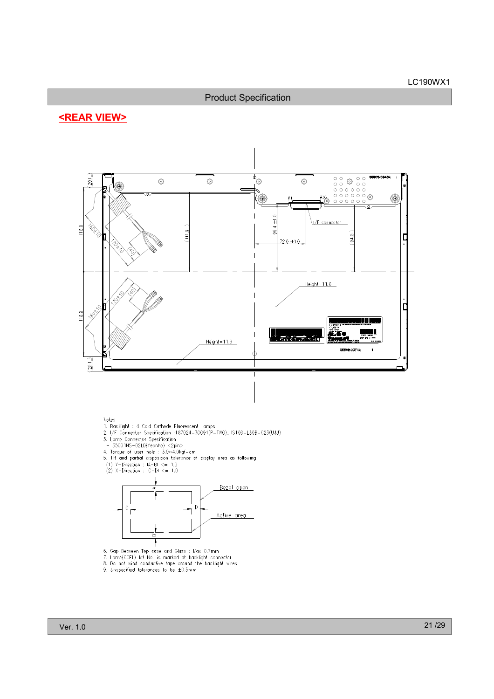# <REAR VIEW>



#### Notes

- 
- Notes<br>
1. Backlight : 4 Cold Cathode Fluorescent Lomps<br>
2. I/F Connector Specification :187024-30091(P-TWO), IS100-L30B-C23(UJU)<br>
3. Lamp Connector Specification<br>
 35001HS-02LD(Yeonho) <2pin><br>
4. Torque of user hole : 3.0
- 
- 
- 
- 
- 



- 
- 5. Gap Between Top case and Glass : Max 0.7mm<br>7. Lamp(CCFL) lot No. is marked at backlight connector<br>8. Do not wind conductive tape around the backlight wires<br>9. Unspecified tolerances to be ±0.5mm
-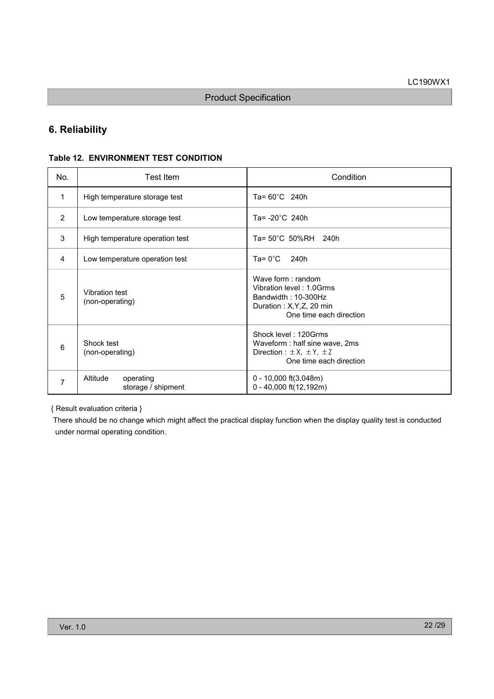# 6. Reliability

#### Table 12. ENVIRONMENT TEST CONDITION

| No. | Test Item                                   | Condition                                                                                                                    |
|-----|---------------------------------------------|------------------------------------------------------------------------------------------------------------------------------|
| 1   | High temperature storage test               | Ta= $60^{\circ}$ C 240h                                                                                                      |
| 2   | Low temperature storage test                | Ta= $-20^{\circ}$ C 240h                                                                                                     |
| 3   | High temperature operation test             | Ta= 50°C 50%RH 240h                                                                                                          |
| 4   | Low temperature operation test              | Ta= $0^{\circ}$ C<br>240h                                                                                                    |
| 5   | <b>Vibration test</b><br>(non-operating)    | Wave form: random<br>Vibration level: 1.0Grms<br>Bandwidth: 10-300Hz<br>Duration: X, Y, Z, 20 min<br>One time each direction |
| 6   | Shock test<br>(non-operating)               | Shock level: 120Grms<br>Waveform : half sine wave, 2ms<br>Direction : $\pm X$ , $\pm Y$ , $\pm Z$<br>One time each direction |
| 7   | Altitude<br>operating<br>storage / shipment | $0 - 10,000$ ft $(3,048m)$<br>$0 - 40,000$ ft(12,192m)                                                                       |

{ Result evaluation criteria }

There should be no change which might affect the practical display function when the display quality test is conducted under normal operating condition.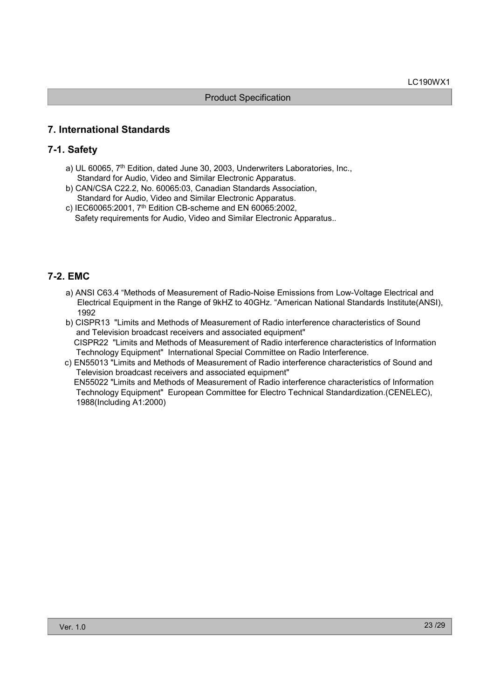# 7. International Standards

### 7-1. Safety

- a) UL 60065, 7<sup>th</sup> Edition, dated June 30, 2003, Underwriters Laboratories, Inc., Standard for Audio, Video and Similar Electronic Apparatus.
- b) CAN/CSA C22.2, No. 60065:03, Canadian Standards Association, Standard for Audio, Video and Similar Electronic Apparatus.
- c) IEC60065:2001, 7th Edition CB-scheme and EN 60065:2002, Safety requirements for Audio, Video and Similar Electronic Apparatus..

# 7-2. EMC

- a) ANSI C63.4 "Methods of Measurement of Radio-Noise Emissions from Low-Voltage Electrical and Electrical Equipment in the Range of 9kHZ to 40GHz. "American National Standards Institute(ANSI), 1992
- b) CISPR13 "Limits and Methods of Measurement of Radio interference characteristics of Sound and Television broadcast receivers and associated equipment" CISPR22 "Limits and Methods of Measurement of Radio interference characteristics of Information Technology Equipment" International Special Committee on Radio Interference.
- c) EN55013 "Limits and Methods of Measurement of Radio interference characteristics of Sound and Television broadcast receivers and associated equipment" EN55022 "Limits and Methods of Measurement of Radio interference characteristics of Information Technology Equipment" European Committee for Electro Technical Standardization.(CENELEC), 1988(Including A1:2000)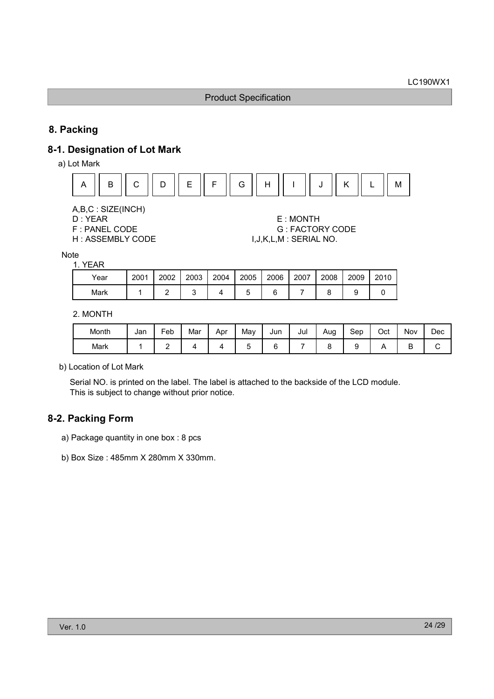# 8. Packing

# 8-1. Designation of Lot Mark

a) Lot Mark



A,B,C : SIZE(INCH)

D : YEAR E : MONTH F : PANEL CODE G : FACTORY CODE H : ASSEMBLY CODE  $I, J, K, L, M$  : SERIAL NO.

Note 1. YEAR

| .    |      |      |      |      |      |      |      |      |      |      |
|------|------|------|------|------|------|------|------|------|------|------|
| Year | 2001 | 2002 | 2003 | 2004 | 2005 | 2006 | 2007 | 2008 | 2009 | 2010 |
| Mark |      |      |      |      |      |      |      |      |      |      |
|      |      |      |      |      |      |      |      |      |      |      |

#### 2. MONTH

| Month | Jan | -<br>⊢eb | Mar | Apr | Mav | Jun | Jul | Aug | Sep | Oct | Nov    | Dec |
|-------|-----|----------|-----|-----|-----|-----|-----|-----|-----|-----|--------|-----|
| Mark  |     | -        |     |     | ັ   |     |     |     |     |     | -<br>◡ | ີ   |

b) Location of Lot Mark

Serial NO. is printed on the label. The label is attached to the backside of the LCD module. This is subject to change without prior notice.

# 8-2. Packing Form

- a) Package quantity in one box : 8 pcs
- b) Box Size : 485mm X 280mm X 330mm.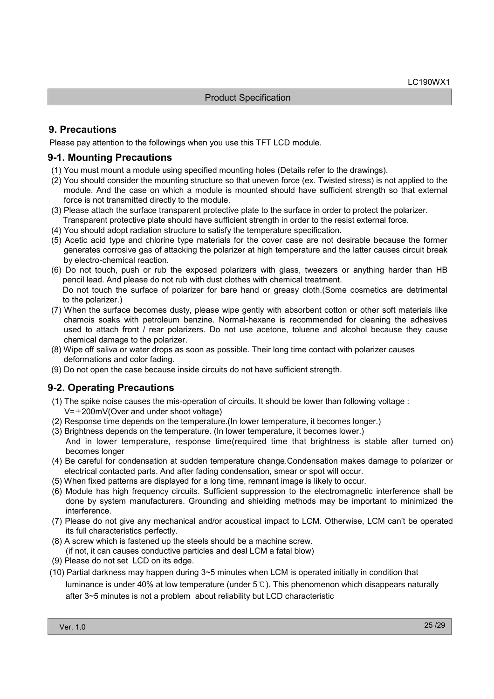# 9. Precautions

Please pay attention to the followings when you use this TFT LCD module.

#### 9-1. Mounting Precautions

- (1) You must mount a module using specified mounting holes (Details refer to the drawings).
- (2) You should consider the mounting structure so that uneven force (ex. Twisted stress) is not applied to the module. And the case on which a module is mounted should have sufficient strength so that external force is not transmitted directly to the module.
- (3) Please attach the surface transparent protective plate to the surface in order to protect the polarizer.
- Transparent protective plate should have sufficient strength in order to the resist external force. (4) You should adopt radiation structure to satisfy the temperature specification.
- (5) Acetic acid type and chlorine type materials for the cover case are not desirable because the former generates corrosive gas of attacking the polarizer at high temperature and the latter causes circuit break by electro-chemical reaction.
- (6) Do not touch, push or rub the exposed polarizers with glass, tweezers or anything harder than HB pencil lead. And please do not rub with dust clothes with chemical treatment. Do not touch the surface of polarizer for bare hand or greasy cloth.(Some cosmetics are detrimental
- to the polarizer.) (7) When the surface becomes dusty, please wipe gently with absorbent cotton or other soft materials like chamois soaks with petroleum benzine. Normal-hexane is recommended for cleaning the adhesives used to attach front / rear polarizers. Do not use acetone, toluene and alcohol because they cause chemical damage to the polarizer.
- (8) Wipe off saliva or water drops as soon as possible. Their long time contact with polarizer causes deformations and color fading.
- (9) Do not open the case because inside circuits do not have sufficient strength.

# 9-2. Operating Precautions

- (1) The spike noise causes the mis-operation of circuits. It should be lower than following voltage :  $V=\pm 200$ mV(Over and under shoot voltage)
- (2) Response time depends on the temperature.(In lower temperature, it becomes longer.)
- (3) Brightness depends on the temperature. (In lower temperature, it becomes lower.) And in lower temperature, response time(required time that brightness is stable after turned on) becomes longer
- (4) Be careful for condensation at sudden temperature change.Condensation makes damage to polarizer or electrical contacted parts. And after fading condensation, smear or spot will occur.
- (5) When fixed patterns are displayed for a long time, remnant image is likely to occur.
- (6) Module has high frequency circuits. Sufficient suppression to the electromagnetic interference shall be done by system manufacturers. Grounding and shielding methods may be important to minimized the interference.
- (7) Please do not give any mechanical and/or acoustical impact to LCM. Otherwise, LCM can't be operated its full characteristics perfectly.
- (8) A screw which is fastened up the steels should be a machine screw.
- (if not, it can causes conductive particles and deal LCM a fatal blow)
- (9) Please do not set LCD on its edge.
- (10) Partial darkness may happen during 3~5 minutes when LCM is operated initially in condition that luminance is under 40% at low temperature (under  $5^{\circ}$ ). This phenomenon which disappears naturally after 3~5 minutes is not a problem about reliability but LCD characteristic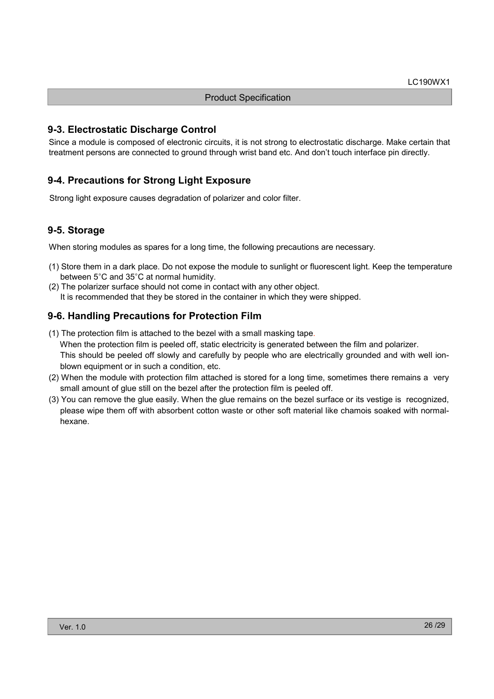### 9-3. Electrostatic Discharge Control

Since a module is composed of electronic circuits, it is not strong to electrostatic discharge. Make certain that treatment persons are connected to ground through wrist band etc. And don't touch interface pin directly.

# 9-4. Precautions for Strong Light Exposure

Strong light exposure causes degradation of polarizer and color filter.

# 9-5. Storage

When storing modules as spares for a long time, the following precautions are necessary.

- (1) Store them in a dark place. Do not expose the module to sunlight or fluorescent light. Keep the temperature between 5°C and 35°C at normal humidity.
- (2) The polarizer surface should not come in contact with any other object. It is recommended that they be stored in the container in which they were shipped.

# 9-6. Handling Precautions for Protection Film

(1) The protection film is attached to the bezel with a small masking tape.

When the protection film is peeled off, static electricity is generated between the film and polarizer. This should be peeled off slowly and carefully by people who are electrically grounded and with well ionblown equipment or in such a condition, etc.

- (2) When the module with protection film attached is stored for a long time, sometimes there remains a very small amount of glue still on the bezel after the protection film is peeled off.
- (3) You can remove the glue easily. When the glue remains on the bezel surface or its vestige is recognized, please wipe them off with absorbent cotton waste or other soft material like chamois soaked with normalhexane.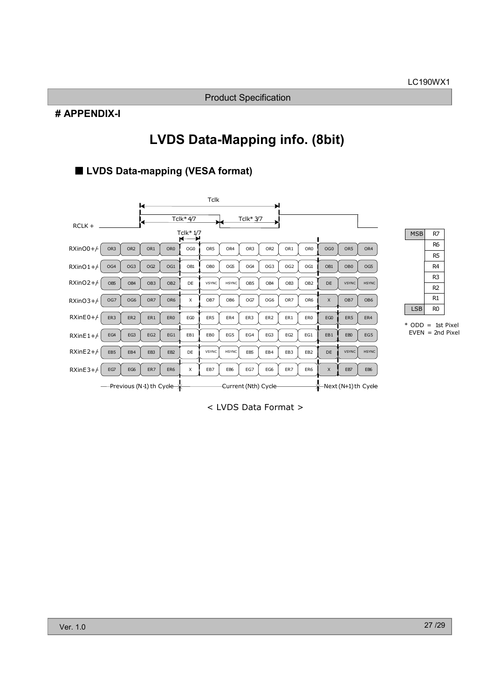#### # APPENDIX-I

# LVDS Data-Mapping info. (8bit)

# ■ LVDS Data-mapping (VESA format)





R6 R5

< LVDS Data Format >

<sup>\*</sup> ODD = 1st Pixel  $EVEN = 2nd$  Pixel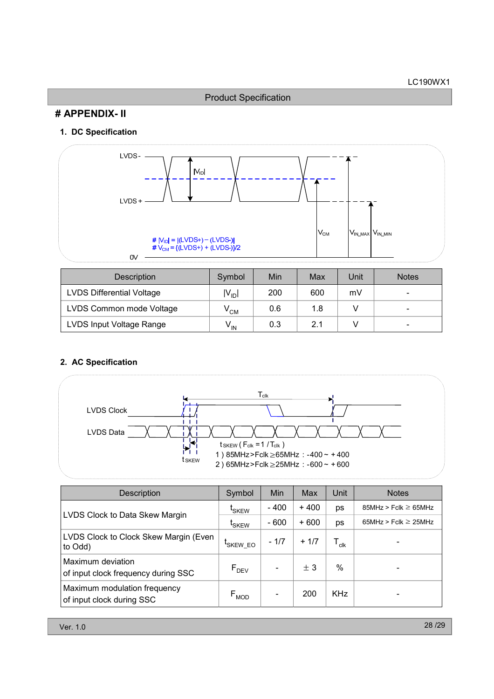Product Specification

# # APPENDIX- II

### 1. DC Specification



| <b>Description</b>               | Symbol            | Min | Max | Unit | <b>Notes</b>             |
|----------------------------------|-------------------|-----|-----|------|--------------------------|
| <b>LVDS Differential Voltage</b> | $ V_{\text{ID}} $ | 200 | 600 | mV   | $\overline{\phantom{0}}$ |
| LVDS Common mode Voltage         | v <sub>см</sub>   | 0.6 | 1.8 |      |                          |
| LVDS Input Voltage Range         | V <sub>IN</sub>   | 0.3 | 2.1 |      | -                        |

# 2. AC Specification



| <b>Description</b>                                        | Symbol            | Min                      | Max    | Unit                        | <b>Notes</b>              |
|-----------------------------------------------------------|-------------------|--------------------------|--------|-----------------------------|---------------------------|
| LVDS Clock to Data Skew Margin                            | <sup>L</sup> SKEW | - 400                    | $+400$ | ps                          | $85MHz > Fclk \ge 65MHz$  |
|                                                           | <sup>L</sup> SKEW | $-600$                   | $+600$ | ps                          | 65MHz > Fclk $\geq$ 25MHz |
| LVDS Clock to Clock Skew Margin (Even<br>to Odd)          | 'SKEW_EO          | $-1/7$                   | $+1/7$ | $\mathsf{T}_{\mathsf{clk}}$ |                           |
| Maximum deviation<br>of input clock frequency during SSC  | $F_{DEV}$         | $\overline{\phantom{a}}$ | ± 3    | %                           |                           |
| Maximum modulation frequency<br>of input clock during SSC | $F_{MOD}$         | $\overline{\phantom{a}}$ | 200    | <b>KHz</b>                  |                           |